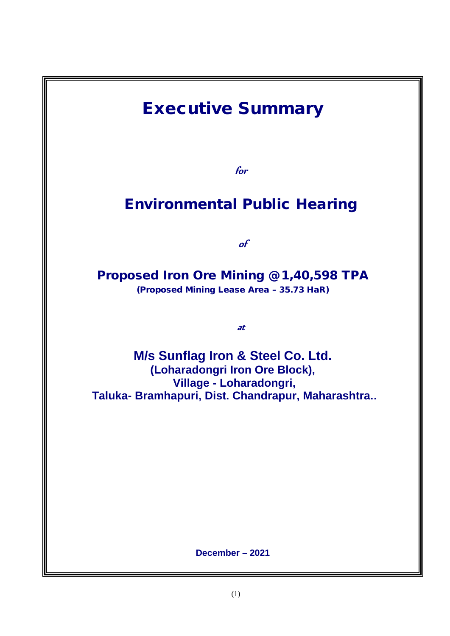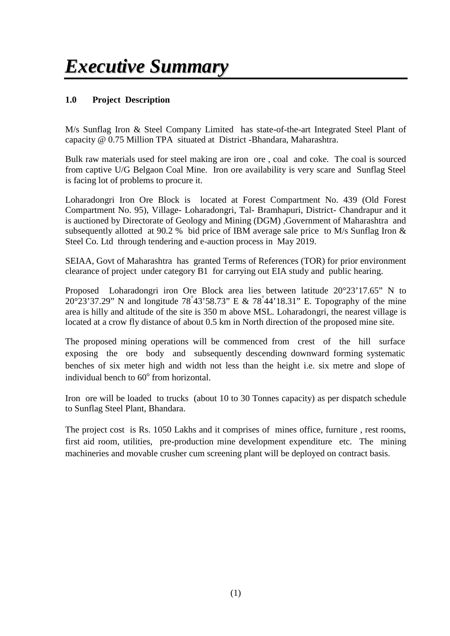# **1.0 Project Description**

M/s Sunflag Iron & Steel Company Limited has state-of-the-art Integrated Steel Plant of capacity @ 0.75 Million TPA situated at District -Bhandara, Maharashtra.

Bulk raw materials used for steel making are iron ore , coal and coke. The coal is sourced from captive U/G Belgaon Coal Mine. Iron ore availability is very scare and Sunflag Steel is facing lot of problems to procure it.

Loharadongri Iron Ore Block is located at Forest Compartment No. 439 (Old Forest Compartment No. 95), Village- Loharadongri, Tal- Bramhapuri, District- Chandrapur and it is auctioned by Directorate of Geology and Mining (DGM) ,Government of Maharashtra and subsequently allotted at 90.2 % bid price of IBM average sale price to M/s Sunflag Iron & Steel Co. Ltd through tendering and e-auction process in May 2019.

SEIAA, Govt of Maharashtra has granted Terms of References (TOR) for prior environment clearance of project under category B1 for carrying out EIA study and public hearing.

Proposed Loharadongri iron Ore Block area lies between latitude 20°23'17.65" N to 20°23'37.29" N and longitude 78°43'58.73" E & 78°44'18.31" E. Topography of the mine area is hilly and altitude of the site is 350 m above MSL. Loharadongri, the nearest village is located at a crow fly distance of about 0.5 km in North direction of the proposed mine site.

The proposed mining operations will be commenced from crest of the hill surface exposing the ore body and subsequently descending downward forming systematic benches of six meter high and width not less than the height i.e. six metre and slope of individual bench to 60° from horizontal.

Iron ore will be loaded to trucks (about 10 to 30 Tonnes capacity) as per dispatch schedule to Sunflag Steel Plant, Bhandara.

The project cost is Rs. 1050 Lakhs and it comprises of mines office, furniture , rest rooms, first aid room, utilities, pre-production mine development expenditure etc. The mining machineries and movable crusher cum screening plant will be deployed on contract basis.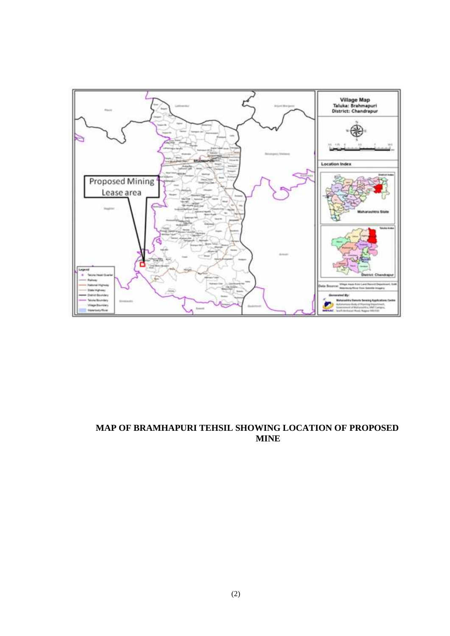

# **MAP OF BRAMHAPURI TEHSIL SHOWING LOCATION OF PROPOSED MINE**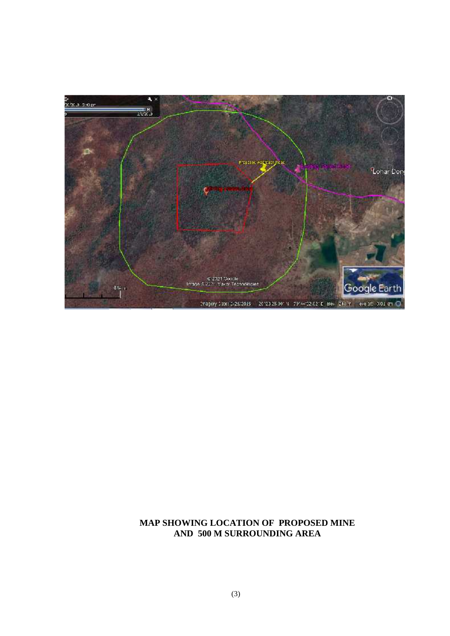

#### **MAP SHOWING LOCATION OF PROPOSED MINE AND 500 M SURROUNDING AREA**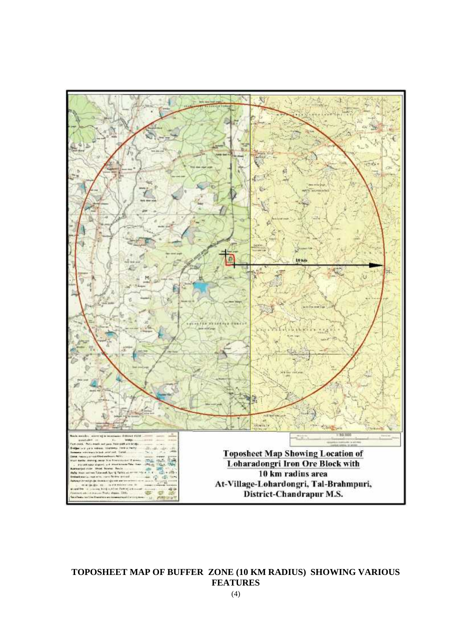

# **TOPOSHEET MAP OF BUFFER ZONE (10 KM RADIUS) SHOWING VARIOUS FEATURES**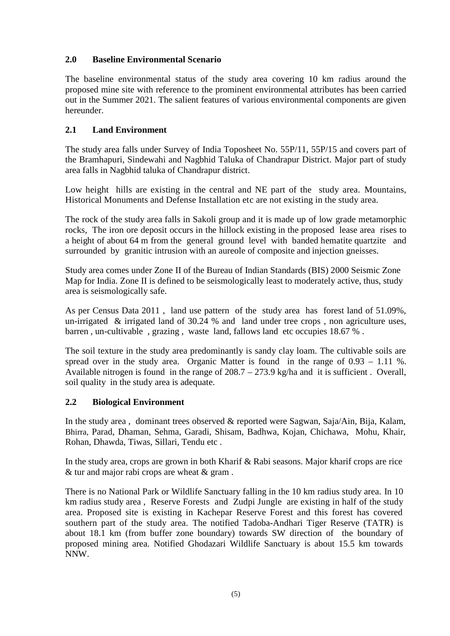# **2.0 Baseline Environmental Scenario**

The baseline environmental status of the study area covering 10 km radius around the proposed mine site with reference to the prominent environmental attributes has been carried out in the Summer 2021. The salient features of various environmental components are given hereunder.

# **2.1 Land Environment**

The study area falls under Survey of India Toposheet No. 55P/11, 55P/15 and covers part of the Bramhapuri, Sindewahi and Nagbhid Taluka of Chandrapur District. Major part of study area falls in Nagbhid taluka of Chandrapur district.

Low height hills are existing in the central and NE part of the study area. Mountains, Historical Monuments and Defense Installation etc are not existing in the study area.

The rock of the study area falls in Sakoli group and it is made up of low grade metamorphic rocks, The iron ore deposit occurs in the hillock existing in the proposed lease area rises to a height of about 64 m from the general ground level with banded hematite quartzite and surrounded by granitic intrusion with an aureole of composite and injection gneisses.

Study area comes under Zone II of the Bureau of Indian Standards (BIS) 2000 Seismic Zone Map for India. Zone II is defined to be seismologically least to moderately active, thus, study area is seismologically safe.

As per Census Data 2011 , land use pattern of the study area has forest land of 51.09%, un-irrigated & irrigated land of 30.24 % and land under tree crops , non agriculture uses, barren , un-cultivable , grazing , waste land, fallows land etc occupies 18.67 % .

The soil texture in the study area predominantly is sandy clay loam. The cultivable soils are spread over in the study area. Organic Matter is found in the range of  $0.93 - 1.11$  %. Available nitrogen is found in the range of 208.7 – 273.9 kg/ha and it is sufficient . Overall, soil quality in the study area is adequate.

### **2.2 Biological Environment**

In the study area , dominant trees observed & reported were Sagwan, Saja/Ain, Bija, Kalam, Bhirra, Parad, Dhaman, Sehma, Garadi, Shisam, Badhwa, Kojan, Chichawa, Mohu, Khair, Rohan, Dhawda, Tiwas, Sillari, Tendu etc .

In the study area, crops are grown in both Kharif & Rabi seasons. Major kharif crops are rice & tur and major rabi crops are wheat & gram .

There is no National Park or Wildlife Sanctuary falling in the 10 km radius study area. In 10 km radius study area , Reserve Forests and Zudpi Jungle are existing in half of the study area. Proposed site is existing in Kachepar Reserve Forest and this forest has covered southern part of the study area. The notified Tadoba-Andhari Tiger Reserve (TATR) is about 18.1 km (from buffer zone boundary) towards SW direction of the boundary of proposed mining area. Notified Ghodazari Wildlife Sanctuary is about 15.5 km towards NNW.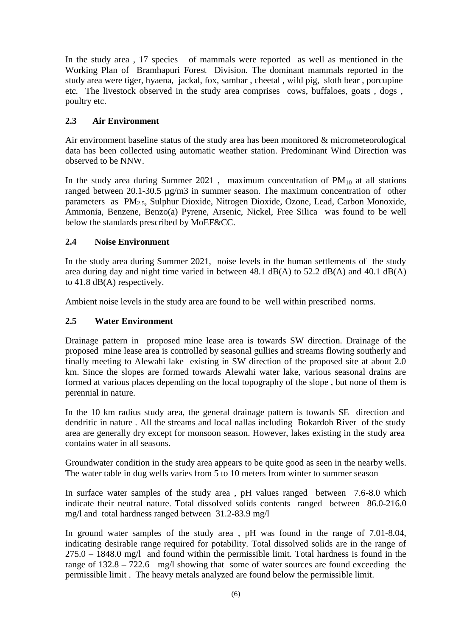In the study area , 17 species of mammals were reported as well as mentioned in the Working Plan of Bramhapuri Forest Division. The dominant mammals reported in the study area were tiger, hyaena, jackal, fox, sambar , cheetal , wild pig, sloth bear , porcupine etc. The livestock observed in the study area comprises cows, buffaloes, goats , dogs , poultry etc.

# **2.3 Air Environment**

Air environment baseline status of the study area has been monitored & micrometeorological data has been collected using automatic weather station. Predominant Wind Direction was observed to be NNW.

In the study area during Summer 2021, maximum concentration of  $PM_{10}$  at all stations ranged between 20.1-30.5 µg/m3 in summer season. The maximum concentration of other parameters as PM2.5, Sulphur Dioxide, Nitrogen Dioxide, Ozone, Lead, Carbon Monoxide, Ammonia, Benzene, Benzo(a) Pyrene, Arsenic, Nickel, Free Silica was found to be well below the standards prescribed by MoEF&CC.

# **2.4 Noise Environment**

In the study area during Summer 2021, noise levels in the human settlements of the study area during day and night time varied in between 48.1 dB(A) to 52.2 dB(A) and 40.1 dB(A) to 41.8 dB(A) respectively.

Ambient noise levels in the study area are found to be well within prescribed norms.

# **2.5 Water Environment**

Drainage pattern in proposed mine lease area is towards SW direction. Drainage of the proposed mine lease area is controlled by seasonal gullies and streams flowing southerly and finally meeting to Alewahi lake existing in SW direction of the proposed site at about 2.0 km. Since the slopes are formed towards Alewahi water lake, various seasonal drains are formed at various places depending on the local topography of the slope , but none of them is perennial in nature.

In the 10 km radius study area, the general drainage pattern is towards SE direction and dendritic in nature . All the streams and local nallas including Bokardoh River of the study area are generally dry except for monsoon season. However, lakes existing in the study area contains water in all seasons.

Groundwater condition in the study area appears to be quite good as seen in the nearby wells. The water table in dug wells varies from 5 to 10 meters from winter to summer season

In surface water samples of the study area , pH values ranged between 7.6-8.0 which indicate their neutral nature. Total dissolved solids contents ranged between 86.0-216.0 mg/l and total hardness ranged between 31.2-83.9 mg/l

In ground water samples of the study area , pH was found in the range of 7.01-8.04, indicating desirable range required for potability. Total dissolved solids are in the range of 275.0 – 1848.0 mg/l and found within the permissible limit. Total hardness is found in the range of 132.8 – 722.6 mg/l showing that some of water sources are found exceeding the permissible limit . The heavy metals analyzed are found below the permissible limit.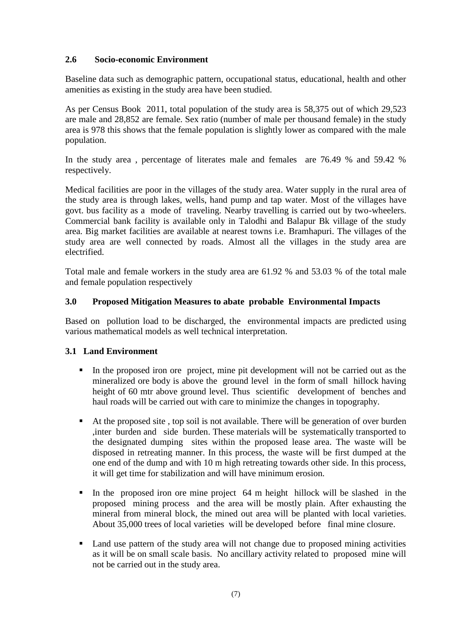# **2.6 Socio-economic Environment**

Baseline data such as demographic pattern, occupational status, educational, health and other amenities as existing in the study area have been studied.

As per Census Book 2011, total population of the study area is 58,375 out of which 29,523 are male and 28,852 are female. Sex ratio (number of male per thousand female) in the study area is 978 this shows that the female population is slightly lower as compared with the male population.

In the study area , percentage of literates male and females are 76.49 % and 59.42 % respectively.

Medical facilities are poor in the villages of the study area. Water supply in the rural area of the study area is through lakes, wells, hand pump and tap water. Most of the villages have govt. bus facility as a mode of traveling. Nearby travelling is carried out by two-wheelers. Commercial bank facility is available only in Talodhi and Balapur Bk village of the study area. Big market facilities are available at nearest towns i.e. Bramhapuri. The villages of the study area are well connected by roads. Almost all the villages in the study area are electrified.

Total male and female workers in the study area are 61.92 % and 53.03 % of the total male and female population respectively

### **3.0 Proposed Mitigation Measures to abate probable Environmental Impacts**

Based on pollution load to be discharged, the environmental impacts are predicted using various mathematical models as well technical interpretation.

### **3.1 Land Environment**

- In the proposed iron ore project, mine pit development will not be carried out as the mineralized ore body is above the ground level in the form of small hillock having height of 60 mtr above ground level. Thus scientific development of benches and haul roads will be carried out with care to minimize the changes in topography.
- At the proposed site , top soil is not available. There will be generation of over burden ,inter burden and side burden. These materials will be systematically transported to the designated dumping sites within the proposed lease area. The waste will be disposed in retreating manner. In this process, the waste will be first dumped at the one end of the dump and with 10 m high retreating towards other side. In this process, it will get time for stabilization and will have minimum erosion.
- In the proposed iron ore mine project 64 m height hillock will be slashed in the proposed mining process and the area will be mostly plain. After exhausting the mineral from mineral block, the mined out area will be planted with local varieties. About 35,000 trees of local varieties will be developed before final mine closure.
- Land use pattern of the study area will not change due to proposed mining activities as it will be on small scale basis. No ancillary activity related to proposed mine will not be carried out in the study area.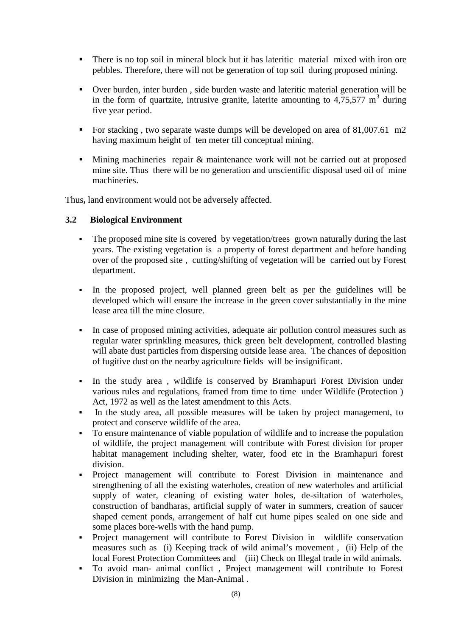- There is no top soil in mineral block but it has lateritic material mixed with iron ore pebbles. Therefore, there will not be generation of top soil during proposed mining.
- Over burden, inter burden , side burden waste and lateritic material generation will be in the form of quartzite, intrusive granite, laterite amounting to  $4.75,577 \text{ m}^3$  during five year period.
- For stacking, two separate waste dumps will be developed on area of 81,007.61 m2 having maximum height of ten meter till conceptual mining.
- Mining machineries repair & maintenance work will not be carried out at proposed mine site. Thus there will be no generation and unscientific disposal used oil of mine machineries.

Thus**,** land environment would not be adversely affected.

#### **3.2 Biological Environment**

- The proposed mine site is covered by vegetation/trees grown naturally during the last years. The existing vegetation is a property of forest department and before handing over of the proposed site , cutting/shifting of vegetation will be carried out by Forest department.
- In the proposed project, well planned green belt as per the guidelines will be developed which will ensure the increase in the green cover substantially in the mine lease area till the mine closure.
- In case of proposed mining activities, adequate air pollution control measures such as regular water sprinkling measures, thick green belt development, controlled blasting will abate dust particles from dispersing outside lease area. The chances of deposition of fugitive dust on the nearby agriculture fields will be insignificant.
- In the study area , wildlife is conserved by Bramhapuri Forest Division under various rules and regulations, framed from time to time under Wildlife (Protection ) Act, 1972 as well as the latest amendment to this Acts.
- In the study area, all possible measures will be taken by project management, to protect and conserve wildlife of the area.
- To ensure maintenance of viable population of wildlife and to increase the population of wildlife, the project management will contribute with Forest division for proper habitat management including shelter, water, food etc in the Bramhapuri forest division.
- Project management will contribute to Forest Division in maintenance and strengthening of all the existing waterholes, creation of new waterholes and artificial supply of water, cleaning of existing water holes, de-siltation of waterholes, construction of bandharas, artificial supply of water in summers, creation of saucer shaped cement ponds, arrangement of half cut hume pipes sealed on one side and some places bore-wells with the hand pump.
- Project management will contribute to Forest Division in wildlife conservation measures such as (i) Keeping track of wild animal's movement , (ii) Help of the local Forest Protection Committees and (iii) Check on Illegal trade in wild animals.
- To avoid man- animal conflict , Project management will contribute to Forest Division in minimizing the Man-Animal .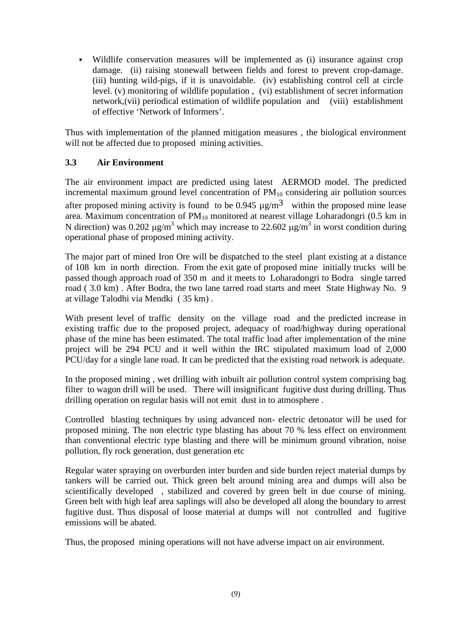Wildlife conservation measures will be implemented as (i) insurance against crop damage. (ii) raising stonewall between fields and forest to prevent crop-damage. (iii) hunting wild-pigs, if it is unavoidable. (iv) establishing control cell at circle level. (v) monitoring of wildlife population , (vi) establishment of secret information network,(vii) periodical estimation of wildlife population and (viii) establishment of effective 'Network of Informers'.

Thus with implementation of the planned mitigation measures , the biological environment will not be affected due to proposed mining activities.

### **3.3 Air Environment**

The air environment impact are predicted using latest AERMOD model. The predicted incremental maximum ground level concentration of  $PM_{10}$  considering air pollution sources after proposed mining activity is found to be 0.945  $\mu$ g/m<sup>3</sup> within the proposed mine lease area. Maximum concentration of  $PM_{10}$  monitored at nearest village Loharadongri (0.5 km in N direction) was 0.202  $\mu$ g/m<sup>3</sup> which may increase to 22.602  $\mu$ g/m<sup>3</sup> in worst condition during operational phase of proposed mining activity.

The major part of mined Iron Ore will be dispatched to the steel plant existing at a distance of 108 km in north direction. From the exit gate of proposed mine initially trucks will be passed though approach road of 350 m and it meets to Loharadongri to Bodra single tarred road ( 3.0 km) . After Bodra, the two lane tarred road starts and meet State Highway No. 9 at village Talodhi via Mendki ( 35 km) .

With present level of traffic density on the village road and the predicted increase in existing traffic due to the proposed project, adequacy of road/highway during operational phase of the mine has been estimated. The total traffic load after implementation of the mine project will be 294 PCU and it well within the IRC stipulated maximum load of 2,000 PCU/day for a single lane road. It can be predicted that the existing road network is adequate.

In the proposed mining , wet drilling with inbuilt air pollution control system comprising bag filter to wagon drill will be used. There will insignificant fugitive dust during drilling. Thus drilling operation on regular basis will not emit dust in to atmosphere .

Controlled blasting techniques by using advanced non- electric detonator will be used for proposed mining. The non electric type blasting has about 70 % less effect on environment than conventional electric type blasting and there will be minimum ground vibration, noise pollution, fly rock generation, dust generation etc

Regular water spraying on overburden inter burden and side burden reject material dumps by tankers will be carried out. Thick green belt around mining area and dumps will also be scientifically developed , stabilized and covered by green belt in due course of mining. Green belt with high leaf area saplings will also be developed all along the boundary to arrest fugitive dust. Thus disposal of loose material at dumps will not controlled and fugitive emissions will be abated.

Thus, the proposed mining operations will not have adverse impact on air environment.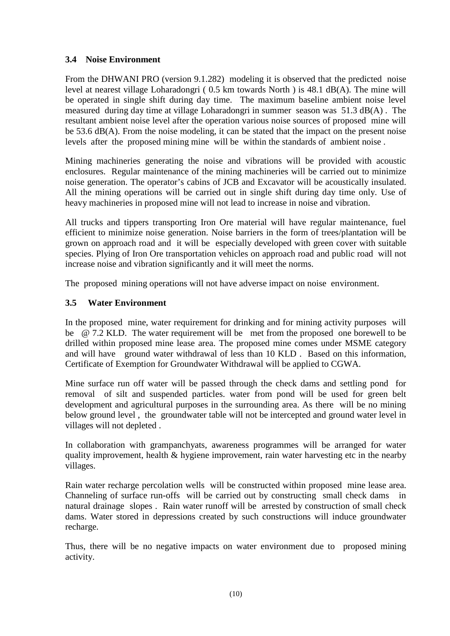# **3.4 Noise Environment**

From the DHWANI PRO (version 9.1.282) modeling it is observed that the predicted noise level at nearest village Loharadongri ( 0.5 km towards North ) is 48.1 dB(A). The mine will be operated in single shift during day time. The maximum baseline ambient noise level measured during day time at village Loharadongri in summer season was 51.3 dB(A) . The resultant ambient noise level after the operation various noise sources of proposed mine will be 53.6 dB(A). From the noise modeling, it can be stated that the impact on the present noise levels after the proposed mining mine will be within the standards of ambient noise .

Mining machineries generating the noise and vibrations will be provided with acoustic enclosures. Regular maintenance of the mining machineries will be carried out to minimize noise generation. The operator's cabins of JCB and Excavator will be acoustically insulated. All the mining operations will be carried out in single shift during day time only. Use of heavy machineries in proposed mine will not lead to increase in noise and vibration.

All trucks and tippers transporting Iron Ore material will have regular maintenance, fuel efficient to minimize noise generation. Noise barriers in the form of trees/plantation will be grown on approach road and it will be especially developed with green cover with suitable species. Plying of Iron Ore transportation vehicles on approach road and public road will not increase noise and vibration significantly and it will meet the norms.

The proposed mining operations will not have adverse impact on noise environment.

# **3.5 Water Environment**

In the proposed mine, water requirement for drinking and for mining activity purposes will be @ 7.2 KLD. The water requirement will be met from the proposed one borewell to be drilled within proposed mine lease area. The proposed mine comes under MSME category and will have ground water withdrawal of less than 10 KLD . Based on this information, Certificate of Exemption for Groundwater Withdrawal will be applied to CGWA.

Mine surface run off water will be passed through the check dams and settling pond for removal of silt and suspended particles. water from pond will be used for green belt development and agricultural purposes in the surrounding area. As there will be no mining below ground level , the groundwater table will not be intercepted and ground water level in villages will not depleted .

In collaboration with grampanchyats, awareness programmes will be arranged for water quality improvement, health & hygiene improvement, rain water harvesting etc in the nearby villages.

Rain water recharge percolation wells will be constructed within proposed mine lease area. Channeling of surface run-offs will be carried out by constructing small check dams in natural drainage slopes . Rain water runoff will be arrested by construction of small check dams. Water stored in depressions created by such constructions will induce groundwater recharge.

Thus, there will be no negative impacts on water environment due to proposed mining activity.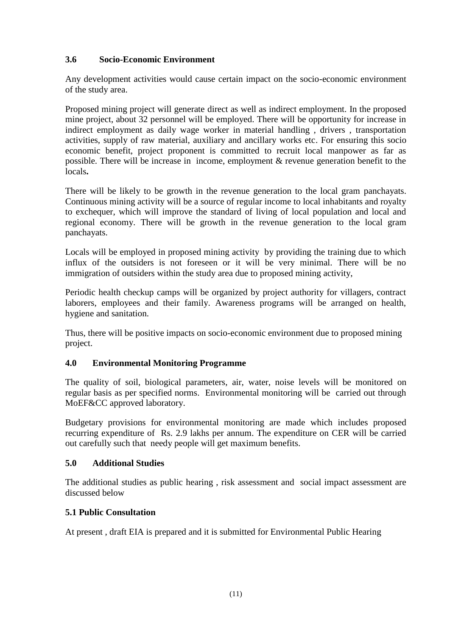# **3.6 Socio-Economic Environment**

Any development activities would cause certain impact on the socio-economic environment of the study area.

Proposed mining project will generate direct as well as indirect employment. In the proposed mine project, about 32 personnel will be employed. There will be opportunity for increase in indirect employment as daily wage worker in material handling , drivers , transportation activities, supply of raw material, auxiliary and ancillary works etc. For ensuring this socio economic benefit, project proponent is committed to recruit local manpower as far as possible. There will be increase in income, employment & revenue generation benefit to the locals**.**

There will be likely to be growth in the revenue generation to the local gram panchayats. Continuous mining activity will be a source of regular income to local inhabitants and royalty to exchequer, which will improve the standard of living of local population and local and regional economy. There will be growth in the revenue generation to the local gram panchayats.

Locals will be employed in proposed mining activity by providing the training due to which influx of the outsiders is not foreseen or it will be very minimal. There will be no immigration of outsiders within the study area due to proposed mining activity,

Periodic health checkup camps will be organized by project authority for villagers, contract laborers, employees and their family. Awareness programs will be arranged on health, hygiene and sanitation.

Thus, there will be positive impacts on socio-economic environment due to proposed mining project.

### **4.0 Environmental Monitoring Programme**

The quality of soil, biological parameters, air, water, noise levels will be monitored on regular basis as per specified norms. Environmental monitoring will be carried out through MoEF&CC approved laboratory.

Budgetary provisions for environmental monitoring are made which includes proposed recurring expenditure of Rs. 2.9 lakhs per annum. The expenditure on CER will be carried out carefully such that needy people will get maximum benefits.

### **5.0 Additional Studies**

The additional studies as public hearing , risk assessment and social impact assessment are discussed below

#### **5.1 Public Consultation**

At present , draft EIA is prepared and it is submitted for Environmental Public Hearing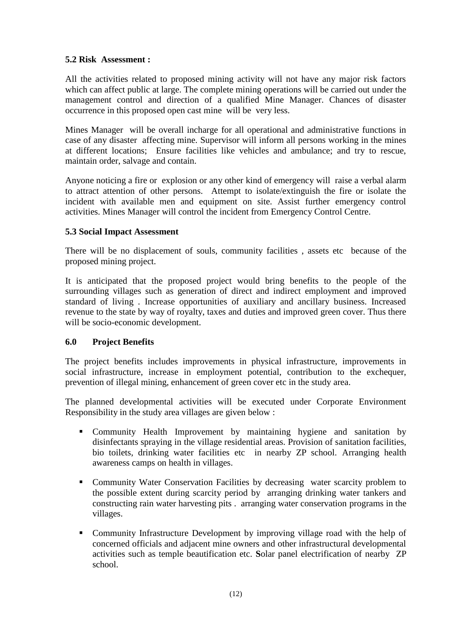### **5.2 Risk Assessment :**

All the activities related to proposed mining activity will not have any major risk factors which can affect public at large. The complete mining operations will be carried out under the management control and direction of a qualified Mine Manager. Chances of disaster occurrence in this proposed open cast mine will be very less.

Mines Manager will be overall incharge for all operational and administrative functions in case of any disaster affecting mine. Supervisor will inform all persons working in the mines at different locations; Ensure facilities like vehicles and ambulance; and try to rescue, maintain order, salvage and contain.

Anyone noticing a fire or explosion or any other kind of emergency will raise a verbal alarm to attract attention of other persons. Attempt to isolate/extinguish the fire or isolate the incident with available men and equipment on site. Assist further emergency control activities. Mines Manager will control the incident from Emergency Control Centre.

#### **5.3 Social Impact Assessment**

There will be no displacement of souls, community facilities , assets etc because of the proposed mining project.

It is anticipated that the proposed project would bring benefits to the people of the surrounding villages such as generation of direct and indirect employment and improved standard of living . Increase opportunities of auxiliary and ancillary business. Increased revenue to the state by way of royalty, taxes and duties and improved green cover. Thus there will be socio-economic development.

### **6.0 Project Benefits**

The project benefits includes improvements in physical infrastructure, improvements in social infrastructure, increase in employment potential, contribution to the exchequer, prevention of illegal mining, enhancement of green cover etc in the study area.

The planned developmental activities will be executed under Corporate Environment Responsibility in the study area villages are given below :

- Community Health Improvement by maintaining hygiene and sanitation by disinfectants spraying in the village residential areas. Provision of sanitation facilities, bio toilets, drinking water facilities etc in nearby ZP school. Arranging health awareness camps on health in villages.
- Community Water Conservation Facilities by decreasing water scarcity problem to the possible extent during scarcity period by arranging drinking water tankers and constructing rain water harvesting pits . arranging water conservation programs in the villages.
- Community Infrastructure Development by improving village road with the help of concerned officials and adjacent mine owners and other infrastructural developmental activities such as temple beautification etc. **S**olar panel electrification of nearby ZP school.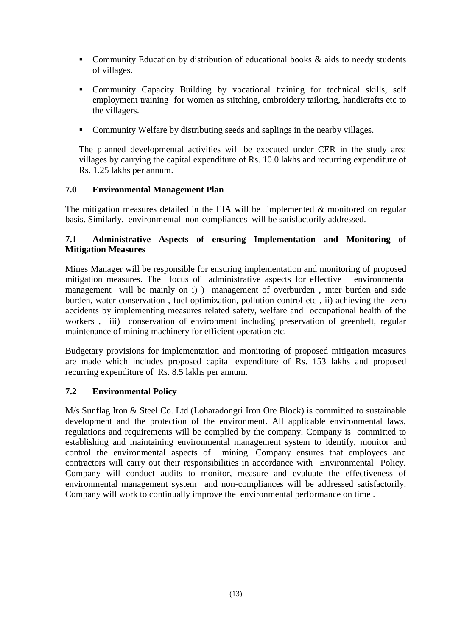- Community Education by distribution of educational books & aids to needy students of villages.
- Community Capacity Building by vocational training for technical skills, self employment training for women as stitching, embroidery tailoring, handicrafts etc to the villagers.
- Community Welfare by distributing seeds and saplings in the nearby villages.

The planned developmental activities will be executed under CER in the study area villages by carrying the capital expenditure of Rs. 10.0 lakhs and recurring expenditure of Rs. 1.25 lakhs per annum.

### **7.0 Environmental Management Plan**

The mitigation measures detailed in the EIA will be implemented  $\&$  monitored on regular basis. Similarly, environmental non-compliances will be satisfactorily addressed.

# **7.1 Administrative Aspects of ensuring Implementation and Monitoring of Mitigation Measures**

Mines Manager will be responsible for ensuring implementation and monitoring of proposed mitigation measures. The focus of administrative aspects for effective environmental management will be mainly on i) ) management of overburden , inter burden and side burden, water conservation , fuel optimization, pollution control etc , ii) achieving the zero accidents by implementing measures related safety, welfare and occupational health of the workers, iii) conservation of environment including preservation of greenbelt, regular maintenance of mining machinery for efficient operation etc.

Budgetary provisions for implementation and monitoring of proposed mitigation measures are made which includes proposed capital expenditure of Rs. 153 lakhs and proposed recurring expenditure of Rs. 8.5 lakhs per annum.

### **7.2 Environmental Policy**

M/s Sunflag Iron & Steel Co. Ltd (Loharadongri Iron Ore Block) is committed to sustainable development and the protection of the environment. All applicable environmental laws, regulations and requirements will be complied by the company. Company is committed to establishing and maintaining environmental management system to identify, monitor and control the environmental aspects of mining. Company ensures that employees and contractors will carry out their responsibilities in accordance with Environmental Policy. Company will conduct audits to monitor, measure and evaluate the effectiveness of environmental management system and non-compliances will be addressed satisfactorily. Company will work to continually improve the environmental performance on time .